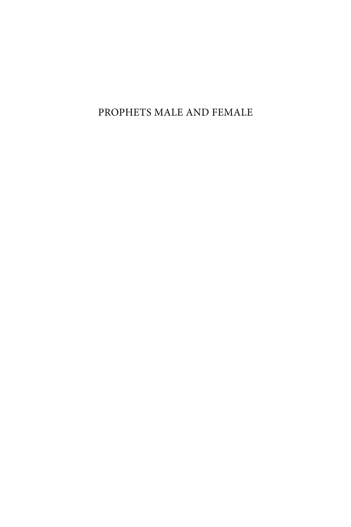PROPHETS MALE AND FEMALE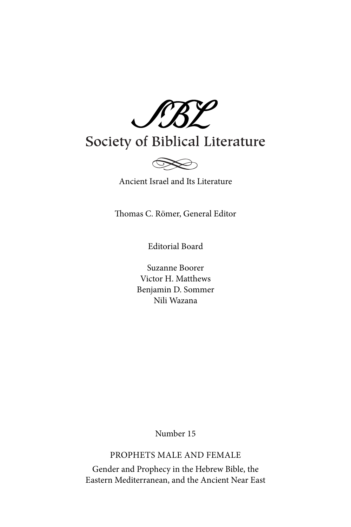SBL

# Society of Biblical Literature



Ancient Israel and Its Literature

Thomas C. Römer, General Editor

Editorial Board

Suzanne Boorer Victor H. Matthews Benjamin D. Sommer Nili Wazana

Number 15

PROPHETS MALE AND FEMALE

Gender and Prophecy in the Hebrew Bible, the Eastern Mediterranean, and the Ancient Near East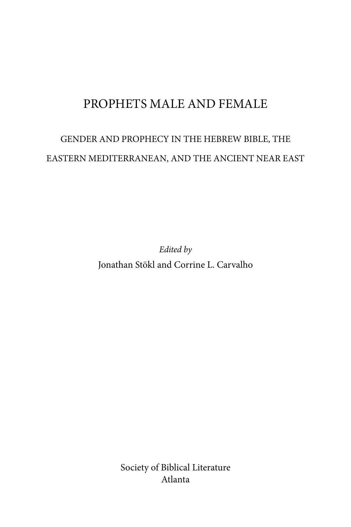## PROPHETS MALE AND FEMALE

# GENDER AND PROPHECY IN THE HEBREW BIBLE, THE EASTERN MEDITERRANEAN, AND THE ANCIENT NEAR EAST

Edited by Jonathan Stökl and Corrine L. Carvalho

> Society of Biblical Literature Atlanta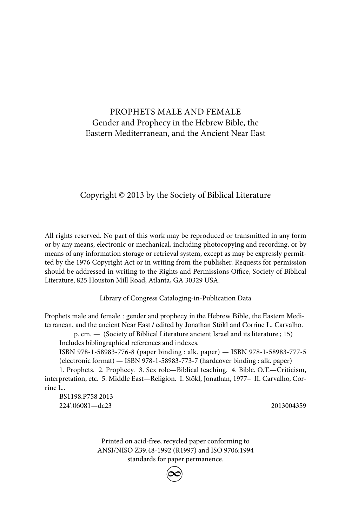#### PROPHETS MALE AND FEMALE Gender and Prophecy in the Hebrew Bible, the Eastern Mediterranean, and the Ancient Near East

#### Copyright © 2013 by the Society of Biblical Literature

All rights reserved. No part of this work may be reproduced or transmitted in any form or by any means, electronic or mechanical, including photocopying and recording, or by means of any information storage or retrieval system, except as may be expressly permitted by the 1976 Copyright Act or in writing from the publisher. Requests for permission should be addressed in writing to the Rights and Permissions Office, Society of Biblical Literature, 825 Houston Mill Road, Atlanta, GA 30329 USA.

Library of Congress Cataloging-in-Publication Data

Prophets male and female : gender and prophecy in the Hebrew Bible, the Eastern Mediterranean, and the ancient Near East / edited by Jonathan Stökl and Corrine L. Carvalho.

p. cm. — (Society of Biblical Literature ancient Israel and its literature ; 15) Includes bibliographical references and indexes.

ISBN 978-1-58983-776-8 (paper binding : alk. paper) — ISBN 978-1-58983-777-5 (electronic format) — ISBN 978-1-58983-773-7 (hardcover binding : alk. paper)

1. Prophets. 2. Prophecy. 3. Sex role—Biblical teaching. 4. Bible. O.T.—Criticism, interpretation, etc. 5. Middle East—Religion. I. Stökl, Jonathan, 1977– II. Carvalho, Corrine L..

BS1198.P758 2013 224'.06081—dc23 2013004359

Printed on acid-free, recycled paper conforming to ANSI/NISO Z39.48-1992 (R1997) and ISO 9706:1994 standards for paper permanence.

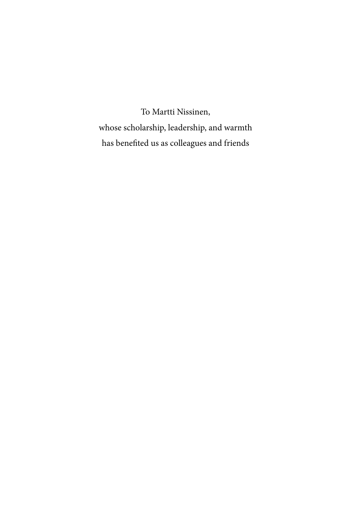To Martti Nissinen, whose scholarship, leadership, and warmth has benefited us as colleagues and friends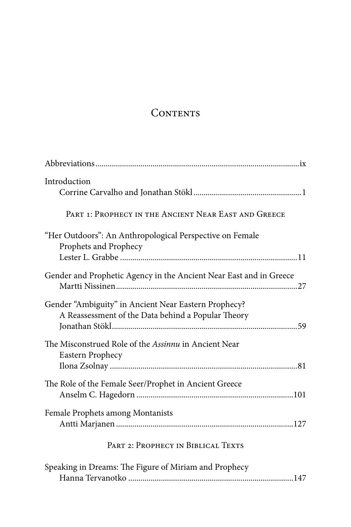## CONTENTS

| Introduction                                                                                               |
|------------------------------------------------------------------------------------------------------------|
| PART 1: PROPHECY IN THE ANCIENT NEAR EAST AND GREECE                                                       |
| "Her Outdoors": An Anthropological Perspective on Female<br>Prophets and Prophecy                          |
| Gender and Prophetic Agency in the Ancient Near East and in Greece                                         |
| Gender "Ambiguity" in Ancient Near Eastern Prophecy?<br>A Reassessment of the Data behind a Popular Theory |
| The Misconstrued Role of the Assinnu in Ancient Near<br>Eastern Prophecy                                   |
| The Role of the Female Seer/Prophet in Ancient Greece                                                      |
| Female Prophets among Montanists                                                                           |
| PART 2: PROPHECY IN BIBLICAL TEXTS                                                                         |
| Speaking in Dreams: The Figure of Miriam and Prophecy                                                      |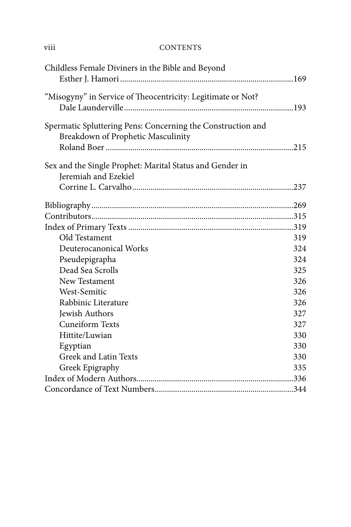## viii CONTENTS

| Childless Female Diviners in the Bible and Beyond                                                 |     |
|---------------------------------------------------------------------------------------------------|-----|
| "Misogyny" in Service of Theocentricity: Legitimate or Not?                                       |     |
| Spermatic Spluttering Pens: Concerning the Construction and<br>Breakdown of Prophetic Masculinity |     |
| Sex and the Single Prophet: Marital Status and Gender in                                          |     |
| Jeremiah and Ezekiel                                                                              |     |
|                                                                                                   |     |
|                                                                                                   |     |
|                                                                                                   |     |
|                                                                                                   |     |
| Old Testament                                                                                     | 319 |
| Deuterocanonical Works                                                                            | 324 |
| Pseudepigrapha                                                                                    | 324 |
| Dead Sea Scrolls                                                                                  | 325 |
| New Testament                                                                                     | 326 |
| West-Semitic                                                                                      | 326 |
| Rabbinic Literature                                                                               | 326 |
| Jewish Authors                                                                                    | 327 |
| <b>Cuneiform Texts</b>                                                                            | 327 |
| Hittite/Luwian                                                                                    | 330 |
| Egyptian                                                                                          | 330 |
| Greek and Latin Texts                                                                             | 330 |
| Greek Epigraphy                                                                                   | 335 |
|                                                                                                   |     |
|                                                                                                   |     |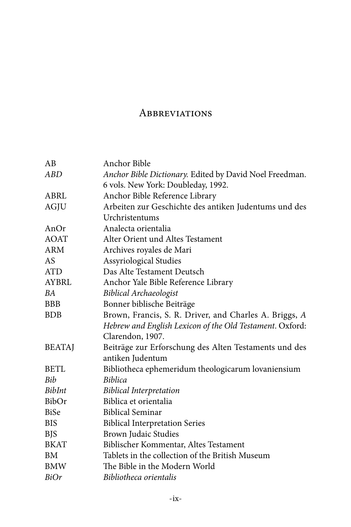## **ABBREVIATIONS**

| AB            | Anchor Bible                                             |
|---------------|----------------------------------------------------------|
| ABD           | Anchor Bible Dictionary. Edited by David Noel Freedman.  |
|               | 6 vols. New York: Doubleday, 1992.                       |
| ABRL          | Anchor Bible Reference Library                           |
| AGJU          | Arbeiten zur Geschichte des antiken Judentums und des    |
|               | Urchristentums                                           |
| AnOr          | Analecta orientalia                                      |
| <b>AOAT</b>   | Alter Orient und Altes Testament                         |
| ARM           | Archives royales de Mari                                 |
| AS.           | Assyriological Studies                                   |
| <b>ATD</b>    | Das Alte Testament Deutsch                               |
| AYBRL         | Anchor Yale Bible Reference Library                      |
| BA            | Biblical Archaeologist                                   |
| <b>BBB</b>    | Bonner biblische Beiträge                                |
| <b>BDB</b>    | Brown, Francis, S. R. Driver, and Charles A. Briggs, A   |
|               | Hebrew and English Lexicon of the Old Testament. Oxford: |
|               | Clarendon, 1907.                                         |
| <b>BEATAJ</b> | Beiträge zur Erforschung des Alten Testaments und des    |
|               | antiken Judentum                                         |
| <b>BETL</b>   | Bibliotheca ephemeridum theologicarum lovaniensium       |
| Bib           | Biblica                                                  |
| BibInt        | <b>Biblical Interpretation</b>                           |
| BibOr         | Biblica et orientalia                                    |
| <b>BiSe</b>   | <b>Biblical Seminar</b>                                  |
| <b>BIS</b>    | <b>Biblical Interpretation Series</b>                    |
| <b>BJS</b>    | Brown Judaic Studies                                     |
| <b>BKAT</b>   | Biblischer Kommentar, Altes Testament                    |
| <b>BM</b>     | Tablets in the collection of the British Museum          |
| <b>BMW</b>    | The Bible in the Modern World                            |
| BiOr          | Bibliotheca orientalis                                   |
|               |                                                          |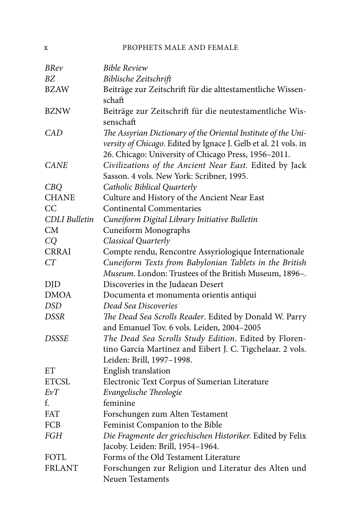## x PROPHETS MALE AND FEMALE

| BRev          | <b>Bible Review</b>                                                                                                                                                                      |
|---------------|------------------------------------------------------------------------------------------------------------------------------------------------------------------------------------------|
| BZ            | Biblische Zeitschrift                                                                                                                                                                    |
| <b>BZAW</b>   | Beiträge zur Zeitschrift für die alttestamentliche Wissen-<br>schaft                                                                                                                     |
| <b>BZNW</b>   | Beiträge zur Zeitschrift für die neutestamentliche Wis-<br>senschaft                                                                                                                     |
| <b>CAD</b>    | The Assyrian Dictionary of the Oriental Institute of the Uni-<br>versity of Chicago. Edited by Ignace J. Gelb et al. 21 vols. in<br>26. Chicago: University of Chicago Press, 1956-2011. |
| CANE          | Civilizations of the Ancient Near East. Edited by Jack                                                                                                                                   |
|               | Sasson. 4 vols. New York: Scribner, 1995.                                                                                                                                                |
| CBQ           | Catholic Biblical Quarterly                                                                                                                                                              |
| <b>CHANE</b>  | Culture and History of the Ancient Near East                                                                                                                                             |
| CC            | <b>Continental Commentaries</b>                                                                                                                                                          |
| CDLI Bulletin | Cuneiform Digital Library Initiative Bulletin                                                                                                                                            |
| CM            | Cuneiform Monographs                                                                                                                                                                     |
| CQ            | Classical Quarterly                                                                                                                                                                      |
| <b>CRRAI</b>  | Compte rendu, Rencontre Assyriologique Internationale                                                                                                                                    |
| CT            | Cuneiform Texts from Babylonian Tablets in the British                                                                                                                                   |
|               | Museum. London: Trustees of the British Museum, 1896-.                                                                                                                                   |
| DJD           | Discoveries in the Judaean Desert                                                                                                                                                        |
| <b>DMOA</b>   | Documenta et monumenta orientis antiqui                                                                                                                                                  |
| DSD           | Dead Sea Discoveries                                                                                                                                                                     |
| DSSR          | The Dead Sea Scrolls Reader. Edited by Donald W. Parry<br>and Emanuel Tov. 6 vols. Leiden, 2004-2005                                                                                     |
| DSSSE         | The Dead Sea Scrolls Study Edition. Edited by Floren-                                                                                                                                    |
|               | tino García Martínez and Eibert J. C. Tigchelaar. 2 vols.<br>Leiden: Brill, 1997-1998.                                                                                                   |
| EТ            | English translation                                                                                                                                                                      |
| <b>ETCSL</b>  | Electronic Text Corpus of Sumerian Literature                                                                                                                                            |
| $E\nu T$      | Evangelische Theologie                                                                                                                                                                   |
| f.            | feminine                                                                                                                                                                                 |
| FAT           | Forschungen zum Alten Testament                                                                                                                                                          |
| FCB           | Feminist Companion to the Bible                                                                                                                                                          |
| FGH           | Die Fragmente der griechischen Historiker. Edited by Felix                                                                                                                               |
|               | Jacoby. Leiden: Brill, 1954-1964.                                                                                                                                                        |
| FOTL          | Forms of the Old Testament Literature                                                                                                                                                    |
| <b>FRLANT</b> | Forschungen zur Religion und Literatur des Alten und<br>Neuen Testaments                                                                                                                 |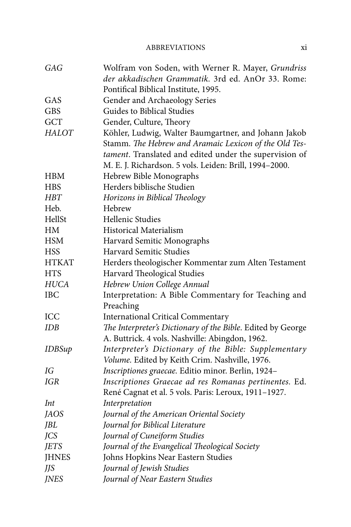ABBREVIATIONS xi

| GAG           | Wolfram von Soden, with Werner R. Mayer, Grundriss<br>der akkadischen Grammatik. 3rd ed. AnOr 33. Rome:                                                                                                                           |
|---------------|-----------------------------------------------------------------------------------------------------------------------------------------------------------------------------------------------------------------------------------|
| GAS           | Pontifical Biblical Institute, 1995.                                                                                                                                                                                              |
|               | Gender and Archaeology Series                                                                                                                                                                                                     |
| <b>GBS</b>    | Guides to Biblical Studies                                                                                                                                                                                                        |
| <b>GCT</b>    | Gender, Culture, Theory                                                                                                                                                                                                           |
| <b>HALOT</b>  | Köhler, Ludwig, Walter Baumgartner, and Johann Jakob<br>Stamm. The Hebrew and Aramaic Lexicon of the Old Tes-<br>tament. Translated and edited under the supervision of<br>M. E. J. Richardson. 5 vols. Leiden: Brill, 1994-2000. |
| <b>HBM</b>    | Hebrew Bible Monographs                                                                                                                                                                                                           |
| <b>HBS</b>    | Herders biblische Studien                                                                                                                                                                                                         |
| HBT           | Horizons in Biblical Theology                                                                                                                                                                                                     |
| Heb.          | Hebrew                                                                                                                                                                                                                            |
| HellSt        | Hellenic Studies                                                                                                                                                                                                                  |
| HМ            | <b>Historical Materialism</b>                                                                                                                                                                                                     |
| <b>HSM</b>    | Harvard Semitic Monographs                                                                                                                                                                                                        |
| <b>HSS</b>    | Harvard Semitic Studies                                                                                                                                                                                                           |
| <b>HTKAT</b>  | Herders theologischer Kommentar zum Alten Testament                                                                                                                                                                               |
| <b>HTS</b>    | Harvard Theological Studies                                                                                                                                                                                                       |
| <b>HUCA</b>   | Hebrew Union College Annual                                                                                                                                                                                                       |
| <b>IBC</b>    | Interpretation: A Bible Commentary for Teaching and<br>Preaching                                                                                                                                                                  |
| ICC           | <b>International Critical Commentary</b>                                                                                                                                                                                          |
| <b>IDB</b>    | The Interpreter's Dictionary of the Bible. Edited by George                                                                                                                                                                       |
|               | A. Buttrick. 4 vols. Nashville: Abingdon, 1962.                                                                                                                                                                                   |
| <b>IDBSup</b> | Interpreter's Dictionary of the Bible: Supplementary                                                                                                                                                                              |
|               | Volume. Edited by Keith Crim. Nashville, 1976.                                                                                                                                                                                    |
| IG            | Inscriptiones graecae. Editio minor. Berlin, 1924-                                                                                                                                                                                |
| <b>IGR</b>    | Inscriptiones Graecae ad res Romanas pertinentes. Ed.<br>René Cagnat et al. 5 vols. Paris: Leroux, 1911-1927.                                                                                                                     |
| Int           | Interpretation                                                                                                                                                                                                                    |
| <b>JAOS</b>   | Journal of the American Oriental Society                                                                                                                                                                                          |
| JBL           | Journal for Biblical Literature                                                                                                                                                                                                   |
| <b>JCS</b>    | Journal of Cuneiform Studies                                                                                                                                                                                                      |
| <b>JETS</b>   | Journal of the Evangelical Theological Society                                                                                                                                                                                    |
| <b>JHNES</b>  | Johns Hopkins Near Eastern Studies                                                                                                                                                                                                |
| JJS           | Journal of Jewish Studies                                                                                                                                                                                                         |
| <b>JNES</b>   | Journal of Near Eastern Studies                                                                                                                                                                                                   |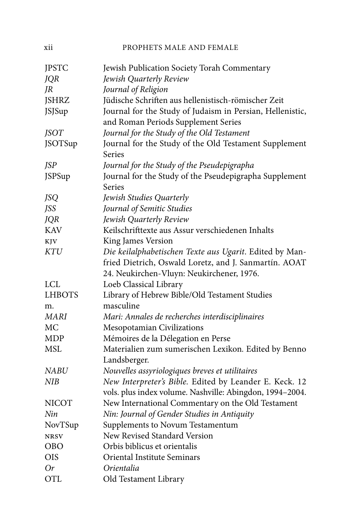## xii PROPHETS MALE AND FEMALE

| <b>JPSTC</b>   | Jewish Publication Society Torah Commentary               |
|----------------|-----------------------------------------------------------|
| <b>JQR</b>     | Jewish Quarterly Review                                   |
| JR             | Journal of Religion                                       |
| <b>JSHRZ</b>   | Jüdische Schriften aus hellenistisch-römischer Zeit       |
| JSJSup         | Journal for the Study of Judaism in Persian, Hellenistic, |
|                | and Roman Periods Supplement Series                       |
| <b>JSOT</b>    | Journal for the Study of the Old Testament                |
| <b>JSOTSup</b> | Journal for the Study of the Old Testament Supplement     |
|                | Series                                                    |
| <b>JSP</b>     | Journal for the Study of the Pseudepigrapha               |
| <b>JSPSup</b>  | Journal for the Study of the Pseudepigrapha Supplement    |
|                | Series                                                    |
| <b>JSQ</b>     | Jewish Studies Quarterly                                  |
| <b>JSS</b>     | Journal of Semitic Studies                                |
| <b>JQR</b>     | Jewish Quarterly Review                                   |
| KAV            | Keilschrifttexte aus Assur verschiedenen Inhalts          |
| KJV            | King James Version                                        |
| KTU            | Die keilalphabetischen Texte aus Ugarit. Edited by Man-   |
|                | fried Dietrich, Oswald Loretz, and J. Sanmartín. AOAT     |
|                | 24. Neukirchen-Vluyn: Neukirchener, 1976.                 |
| <b>LCL</b>     | Loeb Classical Library                                    |
| <b>LHBOTS</b>  | Library of Hebrew Bible/Old Testament Studies             |
| m.             | masculine                                                 |
| <b>MARI</b>    | Mari: Annales de recherches interdisciplinaires           |
| МC             | Mesopotamian Civilizations                                |
| MDP            | Mémoires de la Délegation en Perse                        |
| <b>MSL</b>     | Materialien zum sumerischen Lexikon. Edited by Benno      |
|                | Landsberger.                                              |
| <b>NABU</b>    | Nouvelles assyriologiques breves et utilitaires           |
| NIB            | New Interpreter's Bible. Edited by Leander E. Keck. 12    |
|                | vols. plus index volume. Nashville: Abingdon, 1994-2004.  |
| <b>NICOT</b>   | New International Commentary on the Old Testament         |
| Nin            | Nin: Journal of Gender Studies in Antiquity               |
| NovTSup        | Supplements to Novum Testamentum                          |
| <b>NRSV</b>    | New Revised Standard Version                              |
| OBO            | Orbis biblicus et orientalis                              |
| <b>OIS</b>     | Oriental Institute Seminars                               |
| Or             | Orientalia                                                |
| <b>OTL</b>     | Old Testament Library                                     |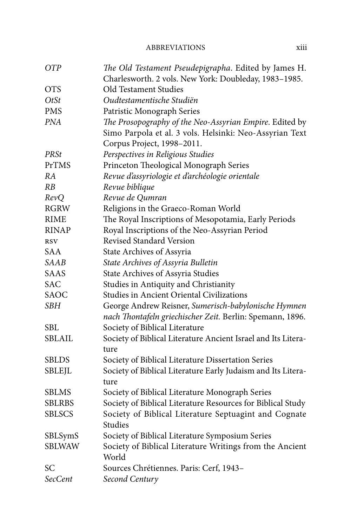ABBREVIATIONS xiii

| <b>OTP</b>     | The Old Testament Pseudepigrapha. Edited by James H.<br>Charlesworth. 2 vols. New York: Doubleday, 1983-1985.                                    |
|----------------|--------------------------------------------------------------------------------------------------------------------------------------------------|
|                | Old Testament Studies                                                                                                                            |
| <b>OTS</b>     | Oudtestamentische Studiën                                                                                                                        |
| <i>OtSt</i>    |                                                                                                                                                  |
| <b>PMS</b>     | Patristic Monograph Series                                                                                                                       |
| <b>PNA</b>     | The Prosopography of the Neo-Assyrian Empire. Edited by<br>Simo Parpola et al. 3 vols. Helsinki: Neo-Assyrian Text<br>Corpus Project, 1998-2011. |
| PRSt           | Perspectives in Religious Studies                                                                                                                |
| PrTMS          | Princeton Theological Monograph Series                                                                                                           |
| RA             | Revue d'assyriologie et d'archéologie orientale                                                                                                  |
| <b>RB</b>      | Revue biblique                                                                                                                                   |
| RevQ           | Revue de Qumran                                                                                                                                  |
| <b>RGRW</b>    | Religions in the Graeco-Roman World                                                                                                              |
| RIME           | The Royal Inscriptions of Mesopotamia, Early Periods                                                                                             |
| <b>RINAP</b>   | Royal Inscriptions of the Neo-Assyrian Period                                                                                                    |
| <b>RSV</b>     | Revised Standard Version                                                                                                                         |
| SAA            | State Archives of Assyria                                                                                                                        |
| SAAB           | State Archives of Assyria Bulletin                                                                                                               |
| SAAS           | State Archives of Assyria Studies                                                                                                                |
| SAC            | Studies in Antiquity and Christianity                                                                                                            |
| SAOC           | Studies in Ancient Oriental Civilizations                                                                                                        |
| SBH            | George Andrew Reisner, Sumerisch-babylonische Hymnen                                                                                             |
|                | nach Thontafeln griechischer Zeit. Berlin: Spemann, 1896.                                                                                        |
| SBL            | Society of Biblical Literature                                                                                                                   |
| <b>SBLAIL</b>  | Society of Biblical Literature Ancient Israel and Its Litera-<br>ture                                                                            |
| <b>SBLDS</b>   | Society of Biblical Literature Dissertation Series                                                                                               |
| SBLEJL         | Society of Biblical Literature Early Judaism and Its Litera-                                                                                     |
|                | ture                                                                                                                                             |
| <b>SBLMS</b>   | Society of Biblical Literature Monograph Series                                                                                                  |
| <b>SBLRBS</b>  | Society of Biblical Literature Resources for Biblical Study                                                                                      |
| <b>SBLSCS</b>  | Society of Biblical Literature Septuagint and Cognate<br>Studies                                                                                 |
| SBLSymS        | Society of Biblical Literature Symposium Series                                                                                                  |
| <b>SBLWAW</b>  | Society of Biblical Literature Writings from the Ancient                                                                                         |
|                | World                                                                                                                                            |
| <b>SC</b>      | Sources Chrétiennes. Paris: Cerf, 1943-                                                                                                          |
| <b>SecCent</b> | Second Century                                                                                                                                   |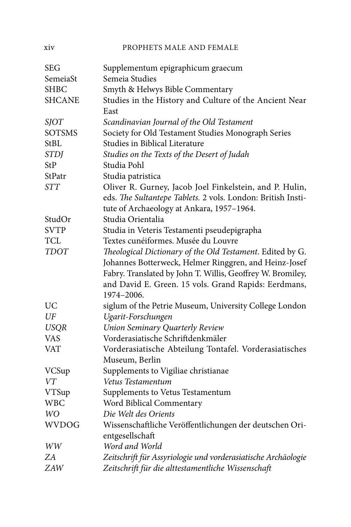| xiv           | PROPHETS MALE AND FEMALE                                                                                                                                                                                                                               |
|---------------|--------------------------------------------------------------------------------------------------------------------------------------------------------------------------------------------------------------------------------------------------------|
| SEG           | Supplementum epigraphicum graecum                                                                                                                                                                                                                      |
| SemeiaSt      | Semeia Studies                                                                                                                                                                                                                                         |
| <b>SHBC</b>   | Smyth & Helwys Bible Commentary                                                                                                                                                                                                                        |
| <b>SHCANE</b> | Studies in the History and Culture of the Ancient Near<br>East                                                                                                                                                                                         |
| <b>SJOT</b>   | Scandinavian Journal of the Old Testament                                                                                                                                                                                                              |
| SOTSMS        | Society for Old Testament Studies Monograph Series                                                                                                                                                                                                     |
| <b>StBL</b>   | Studies in Biblical Literature                                                                                                                                                                                                                         |
| <b>STDJ</b>   | Studies on the Texts of the Desert of Judah                                                                                                                                                                                                            |
| StP           | Studia Pohl                                                                                                                                                                                                                                            |
| StPatr        | Studia patristica                                                                                                                                                                                                                                      |
| <b>STT</b>    | Oliver R. Gurney, Jacob Joel Finkelstein, and P. Hulin,<br>eds. The Sultantepe Tablets. 2 vols. London: British Insti-<br>tute of Archaeology at Ankara, 1957-1964.                                                                                    |
| StudOr        | Studia Orientalia                                                                                                                                                                                                                                      |
| <b>SVTP</b>   | Studia in Veteris Testamenti pseudepigrapha                                                                                                                                                                                                            |
| <b>TCL</b>    | Textes cunéiformes. Musée du Louvre                                                                                                                                                                                                                    |
| <b>TDOT</b>   | Theological Dictionary of the Old Testament. Edited by G.<br>Johannes Botterweck, Helmer Ringgren, and Heinz-Josef<br>Fabry. Translated by John T. Willis, Geoffrey W. Bromiley,<br>and David E. Green. 15 vols. Grand Rapids: Eerdmans,<br>1974-2006. |
| UC            | siglum of the Petrie Museum, University College London                                                                                                                                                                                                 |
| UF            | Ugarit-Forschungen                                                                                                                                                                                                                                     |
| <b>USQR</b>   | Union Seminary Quarterly Review                                                                                                                                                                                                                        |
| VAS           | Vorderasiatische Schriftdenkmäler                                                                                                                                                                                                                      |
| <b>VAT</b>    | Vorderasiatische Abteilung Tontafel. Vorderasiatisches<br>Museum, Berlin                                                                                                                                                                               |
| VCSup         | Supplements to Vigiliae christianae                                                                                                                                                                                                                    |
| VT            | Vetus Testamentum                                                                                                                                                                                                                                      |
| <b>VTSup</b>  | Supplements to Vetus Testamentum                                                                                                                                                                                                                       |
| <b>WBC</b>    | Word Biblical Commentary                                                                                                                                                                                                                               |
| WO            | Die Welt des Orients                                                                                                                                                                                                                                   |
| WVDOG         | Wissenschaftliche Veröffentlichungen der deutschen Ori-<br>entgesellschaft                                                                                                                                                                             |
| WW            | Word and World                                                                                                                                                                                                                                         |
| ZΑ            | Zeitschrift für Assyriologie und vorderasiatische Archäologie                                                                                                                                                                                          |
| <b>ZAW</b>    | Zeitschrift für die alttestamentliche Wissenschaft                                                                                                                                                                                                     |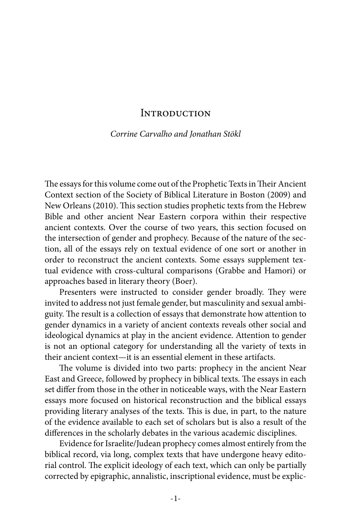## **INTRODUCTION**

#### Corrine Carvalho and Jonathan Stökl

The essays for this volume come out of the Prophetic Texts in Their Ancient Context section of the Society of Biblical Literature in Boston (2009) and New Orleans (2010). This section studies prophetic texts from the Hebrew Bible and other ancient Near Eastern corpora within their respective ancient contexts. Over the course of two years, this section focused on the intersection of gender and prophecy. Because of the nature of the section, all of the essays rely on textual evidence of one sort or another in order to reconstruct the ancient contexts. Some essays supplement textual evidence with cross-cultural comparisons (Grabbe and Hamori) or approaches based in literary theory (Boer).

Presenters were instructed to consider gender broadly. They were invited to address not just female gender, but masculinity and sexual ambiguity. The result is a collection of essays that demonstrate how attention to gender dynamics in a variety of ancient contexts reveals other social and ideological dynamics at play in the ancient evidence. Attention to gender is not an optional category for understanding all the variety of texts in their ancient context—it is an essential element in these artifacts.

The volume is divided into two parts: prophecy in the ancient Near East and Greece, followed by prophecy in biblical texts. The essays in each set differ from those in the other in noticeable ways, with the Near Eastern essays more focused on historical reconstruction and the biblical essays providing literary analyses of the texts. This is due, in part, to the nature of the evidence available to each set of scholars but is also a result of the differences in the scholarly debates in the various academic disciplines.

Evidence for Israelite/Judean prophecy comes almost entirely from the biblical record, via long, complex texts that have undergone heavy editorial control. The explicit ideology of each text, which can only be partially corrected by epigraphic, annalistic, inscriptional evidence, must be explic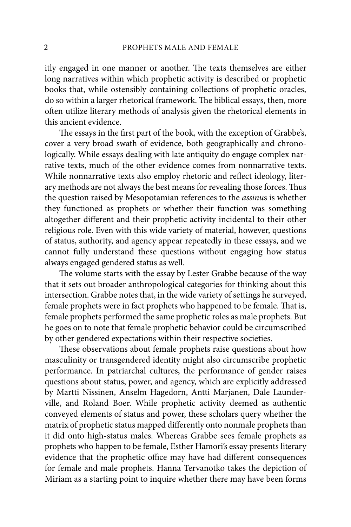itly engaged in one manner or another. The texts themselves are either long narratives within which prophetic activity is described or prophetic books that, while ostensibly containing collections of prophetic oracles, do so within a larger rhetorical framework. The biblical essays, then, more often utilize literary methods of analysis given the rhetorical elements in this ancient evidence.

The essays in the first part of the book, with the exception of Grabbe's, cover a very broad swath of evidence, both geographically and chronologically. While essays dealing with late antiquity do engage complex narrative texts, much of the other evidence comes from nonnarrative texts. While nonnarrative texts also employ rhetoric and reflect ideology, literary methods are not always the best means for revealing those forces. Thus the question raised by Mesopotamian references to the assinus is whether they functioned as prophets or whether their function was something altogether different and their prophetic activity incidental to their other religious role. Even with this wide variety of material, however, questions of status, authority, and agency appear repeatedly in these essays, and we cannot fully understand these questions without engaging how status always engaged gendered status as well.

The volume starts with the essay by Lester Grabbe because of the way that it sets out broader anthropological categories for thinking about this intersection. Grabbe notes that, in the wide variety of settings he surveyed, female prophets were in fact prophets who happened to be female. That is, female prophets performed the same prophetic roles as male prophets. But he goes on to note that female prophetic behavior could be circumscribed by other gendered expectations within their respective societies.

These observations about female prophets raise questions about how masculinity or transgendered identity might also circumscribe prophetic performance. In patriarchal cultures, the performance of gender raises questions about status, power, and agency, which are explicitly addressed by Martti Nissinen, Anselm Hagedorn, Antti Marjanen, Dale Launderville, and Roland Boer. While prophetic activity deemed as authentic conveyed elements of status and power, these scholars query whether the matrix of prophetic status mapped differently onto nonmale prophets than it did onto high-status males. Whereas Grabbe sees female prophets as prophets who happen to be female, Esther Hamori's essay presents literary evidence that the prophetic office may have had different consequences for female and male prophets. Hanna Tervanotko takes the depiction of Miriam as a starting point to inquire whether there may have been forms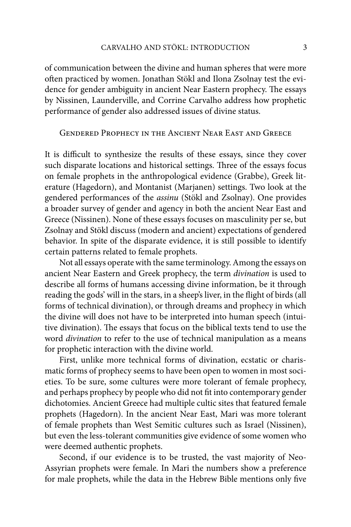of communication between the divine and human spheres that were more often practiced by women. Jonathan Stökl and Ilona Zsolnay test the evidence for gender ambiguity in ancient Near Eastern prophecy. The essays by Nissinen, Launderville, and Corrine Carvalho address how prophetic performance of gender also addressed issues of divine status.

#### Gendered Prophecy in the Ancient Near East and Greece

It is difficult to synthesize the results of these essays, since they cover such disparate locations and historical settings. Three of the essays focus on female prophets in the anthropological evidence (Grabbe), Greek literature (Hagedorn), and Montanist (Marjanen) settings. Two look at the gendered performances of the assinu (Stökl and Zsolnay). One provides a broader survey of gender and agency in both the ancient Near East and Greece (Nissinen). None of these essays focuses on masculinity per se, but Zsolnay and Stökl discuss (modern and ancient) expectations of gendered behavior. In spite of the disparate evidence, it is still possible to identify certain patterns related to female prophets.

Not all essays operate with the same terminology. Among the essays on ancient Near Eastern and Greek prophecy, the term divination is used to describe all forms of humans accessing divine information, be it through reading the gods' will in the stars, in a sheep's liver, in the flight of birds (all forms of technical divination), or through dreams and prophecy in which the divine will does not have to be interpreted into human speech (intuitive divination). The essays that focus on the biblical texts tend to use the word divination to refer to the use of technical manipulation as a means for prophetic interaction with the divine world.

First, unlike more technical forms of divination, ecstatic or charismatic forms of prophecy seems to have been open to women in most societies. To be sure, some cultures were more tolerant of female prophecy, and perhaps prophecy by people who did not fit into contemporary gender dichotomies. Ancient Greece had multiple cultic sites that featured female prophets (Hagedorn). In the ancient Near East, Mari was more tolerant of female prophets than West Semitic cultures such as Israel (Nissinen), but even the less-tolerant communities give evidence of some women who were deemed authentic prophets.

Second, if our evidence is to be trusted, the vast majority of Neo-Assyrian prophets were female. In Mari the numbers show a preference for male prophets, while the data in the Hebrew Bible mentions only five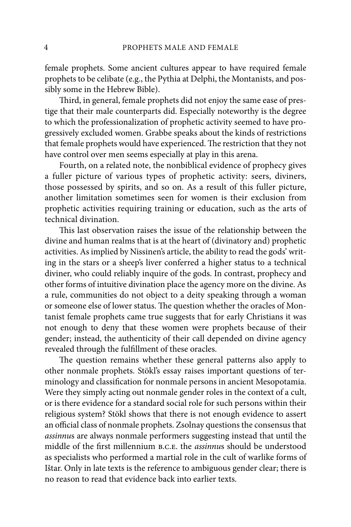female prophets. Some ancient cultures appear to have required female prophets to be celibate (e.g., the Pythia at Delphi, the Montanists, and possibly some in the Hebrew Bible).

Third, in general, female prophets did not enjoy the same ease of prestige that their male counterparts did. Especially noteworthy is the degree to which the professionalization of prophetic activity seemed to have progressively excluded women. Grabbe speaks about the kinds of restrictions that female prophets would have experienced. The restriction that they not have control over men seems especially at play in this arena.

Fourth, on a related note, the nonbiblical evidence of prophecy gives a fuller picture of various types of prophetic activity: seers, diviners, those possessed by spirits, and so on. As a result of this fuller picture, another limitation sometimes seen for women is their exclusion from prophetic activities requiring training or education, such as the arts of technical divination.

This last observation raises the issue of the relationship between the divine and human realms that is at the heart of (divinatory and) prophetic activities. As implied by Nissinen's article, the ability to read the gods' writing in the stars or a sheep's liver conferred a higher status to a technical diviner, who could reliably inquire of the gods. In contrast, prophecy and other forms of intuitive divination place the agency more on the divine. As a rule, communities do not object to a deity speaking through a woman or someone else of lower status. The question whether the oracles of Montanist female prophets came true suggests that for early Christians it was not enough to deny that these women were prophets because of their gender; instead, the authenticity of their call depended on divine agency revealed through the fulfillment of these oracles.

The question remains whether these general patterns also apply to other nonmale prophets. Stökl's essay raises important questions of terminology and classification for nonmale persons in ancient Mesopotamia. Were they simply acting out nonmale gender roles in the context of a cult, or is there evidence for a standard social role for such persons within their religious system? Stökl shows that there is not enough evidence to assert an official class of nonmale prophets. Zsolnay questions the consensus that assinnus are always nonmale performers suggesting instead that until the middle of the first millennium B.C.E. the *assinnus* should be understood as specialists who performed a martial role in the cult of warlike forms of Ištar. Only in late texts is the reference to ambiguous gender clear; there is no reason to read that evidence back into earlier texts.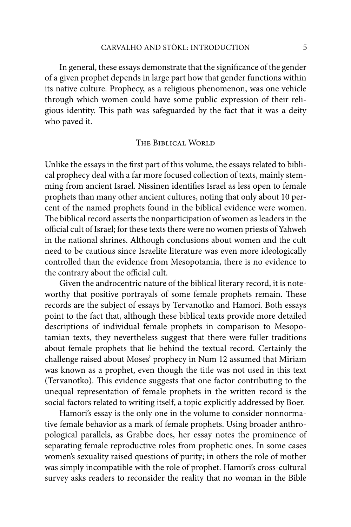In general, these essays demonstrate that the significance of the gender of a given prophet depends in large part how that gender functions within its native culture. Prophecy, as a religious phenomenon, was one vehicle through which women could have some public expression of their religious identity. This path was safeguarded by the fact that it was a deity who paved it.

#### The Biblical World

Unlike the essays in the first part of this volume, the essays related to biblical prophecy deal with a far more focused collection of texts, mainly stemming from ancient Israel. Nissinen identifies Israel as less open to female prophets than many other ancient cultures, noting that only about 10 percent of the named prophets found in the biblical evidence were women. The biblical record asserts the nonparticipation of women as leaders in the official cult of Israel; for these texts there were no women priests of Yahweh in the national shrines. Although conclusions about women and the cult need to be cautious since Israelite literature was even more ideologically controlled than the evidence from Mesopotamia, there is no evidence to the contrary about the official cult.

Given the androcentric nature of the biblical literary record, it is noteworthy that positive portrayals of some female prophets remain. These records are the subject of essays by Tervanotko and Hamori. Both essays point to the fact that, although these biblical texts provide more detailed descriptions of individual female prophets in comparison to Mesopotamian texts, they nevertheless suggest that there were fuller traditions about female prophets that lie behind the textual record. Certainly the challenge raised about Moses' prophecy in Num 12 assumed that Miriam was known as a prophet, even though the title was not used in this text (Tervanotko). This evidence suggests that one factor contributing to the unequal representation of female prophets in the written record is the social factors related to writing itself, a topic explicitly addressed by Boer.

Hamori's essay is the only one in the volume to consider nonnormative female behavior as a mark of female prophets. Using broader anthropological parallels, as Grabbe does, her essay notes the prominence of separating female reproductive roles from prophetic ones. In some cases women's sexuality raised questions of purity; in others the role of mother was simply incompatible with the role of prophet. Hamori's cross-cultural survey asks readers to reconsider the reality that no woman in the Bible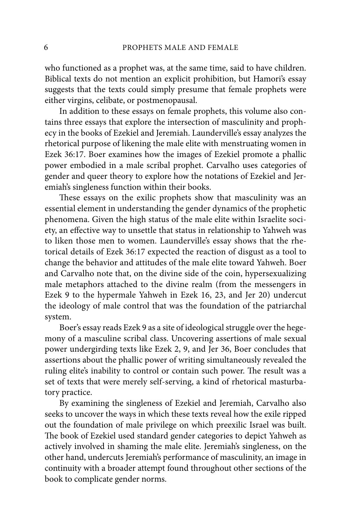who functioned as a prophet was, at the same time, said to have children. Biblical texts do not mention an explicit prohibition, but Hamori's essay suggests that the texts could simply presume that female prophets were either virgins, celibate, or postmenopausal.

In addition to these essays on female prophets, this volume also contains three essays that explore the intersection of masculinity and prophecy in the books of Ezekiel and Jeremiah. Launderville's essay analyzes the rhetorical purpose of likening the male elite with menstruating women in Ezek 36:17. Boer examines how the images of Ezekiel promote a phallic power embodied in a male scribal prophet. Carvalho uses categories of gender and queer theory to explore how the notations of Ezekiel and Jeremiah's singleness function within their books.

These essays on the exilic prophets show that masculinity was an essential element in understanding the gender dynamics of the prophetic phenomena. Given the high status of the male elite within Israelite society, an effective way to unsettle that status in relationship to Yahweh was to liken those men to women. Launderville's essay shows that the rhetorical details of Ezek 36:17 expected the reaction of disgust as a tool to change the behavior and attitudes of the male elite toward Yahweh. Boer and Carvalho note that, on the divine side of the coin, hypersexualizing male metaphors attached to the divine realm (from the messengers in Ezek 9 to the hypermale Yahweh in Ezek 16, 23, and Jer 20) undercut the ideology of male control that was the foundation of the patriarchal system.

Boer's essay reads Ezek 9 as a site of ideological struggle over the hegemony of a masculine scribal class. Uncovering assertions of male sexual power undergirding texts like Ezek 2, 9, and Jer 36, Boer concludes that assertions about the phallic power of writing simultaneously revealed the ruling elite's inability to control or contain such power. The result was a set of texts that were merely self-serving, a kind of rhetorical masturbatory practice.

By examining the singleness of Ezekiel and Jeremiah, Carvalho also seeks to uncover the ways in which these texts reveal how the exile ripped out the foundation of male privilege on which preexilic Israel was built. The book of Ezekiel used standard gender categories to depict Yahweh as actively involved in shaming the male elite. Jeremiah's singleness, on the other hand, undercuts Jeremiah's performance of masculinity, an image in continuity with a broader attempt found throughout other sections of the book to complicate gender norms.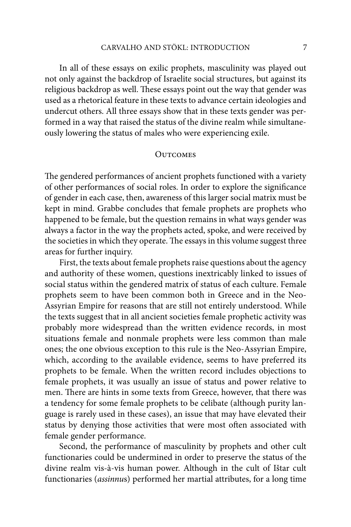In all of these essays on exilic prophets, masculinity was played out not only against the backdrop of Israelite social structures, but against its religious backdrop as well. These essays point out the way that gender was used as a rhetorical feature in these texts to advance certain ideologies and undercut others. All three essays show that in these texts gender was performed in a way that raised the status of the divine realm while simultaneously lowering the status of males who were experiencing exile.

#### **OUTCOMES**

The gendered performances of ancient prophets functioned with a variety of other performances of social roles. In order to explore the significance of gender in each case, then, awareness of this larger social matrix must be kept in mind. Grabbe concludes that female prophets are prophets who happened to be female, but the question remains in what ways gender was always a factor in the way the prophets acted, spoke, and were received by the societies in which they operate. The essays in this volume suggest three areas for further inquiry.

First, the texts about female prophets raise questions about the agency and authority of these women, questions inextricably linked to issues of social status within the gendered matrix of status of each culture. Female prophets seem to have been common both in Greece and in the Neo-Assyrian Empire for reasons that are still not entirely understood. While the texts suggest that in all ancient societies female prophetic activity was probably more widespread than the written evidence records, in most situations female and nonmale prophets were less common than male ones; the one obvious exception to this rule is the Neo-Assyrian Empire, which, according to the available evidence, seems to have preferred its prophets to be female. When the written record includes objections to female prophets, it was usually an issue of status and power relative to men. There are hints in some texts from Greece, however, that there was a tendency for some female prophets to be celibate (although purity language is rarely used in these cases), an issue that may have elevated their status by denying those activities that were most often associated with female gender performance.

Second, the performance of masculinity by prophets and other cult functionaries could be undermined in order to preserve the status of the divine realm vis-à-vis human power. Although in the cult of Ištar cult functionaries (assinnus) performed her martial attributes, for a long time